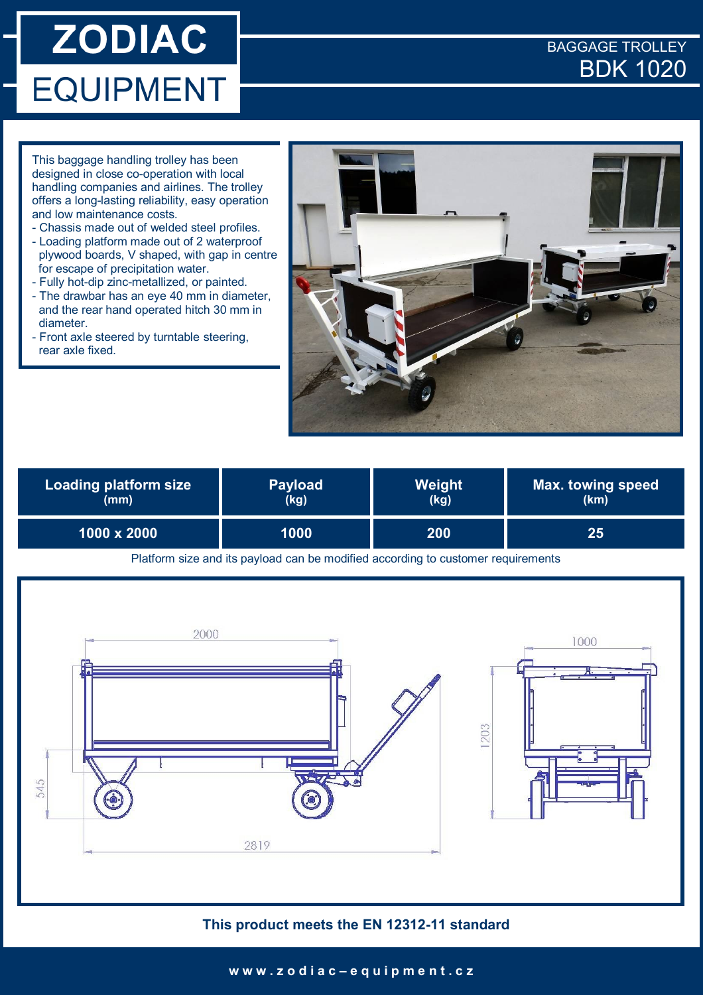# ZODIAC **EXAGGAGE TROLLEY** EQUIPMENT BDK 1020

This baggage handling trolley has been designed in close co-operation with local handling companies and airlines. The trolley offers a long-lasting reliability, easy operation and low maintenance costs.

- Chassis made out of welded steel profiles.
- Loading platform made out of 2 waterproof plywood boards, V shaped, with gap in centre for escape of precipitation water.
- Fully hot-dip zinc-metallized, or painted.
- The drawbar has an eye 40 mm in diameter, and the rear hand operated hitch 30 mm in diameter.
- Front axle steered by turntable steering, rear axle fixed.



| Loading platform size | <b>Payload</b> | Weight | <b>Max. towing speed</b> |
|-----------------------|----------------|--------|--------------------------|
| (mm)                  | (kg)           | (kg)   | (km)                     |
| 1000 x 2000           | 1000           | 200    | 25                       |

Platform size and its payload can be modified according to customer requirements



### **This product meets the EN 12312-11 standard**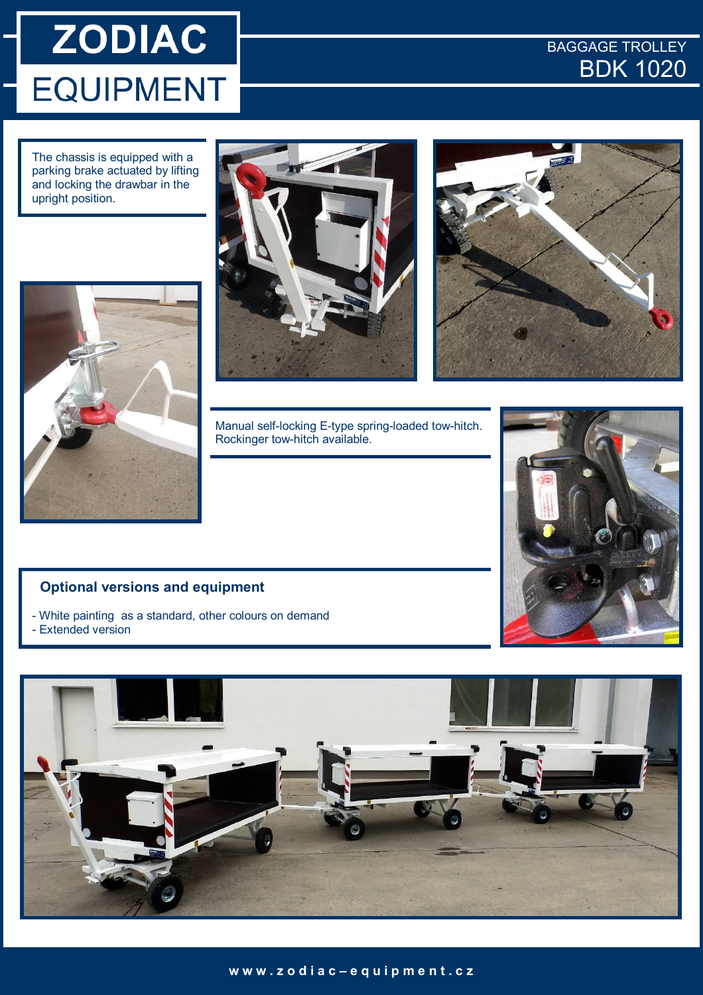## **ZODIAC** EQUIPMENT BDK 1020

The chassis is equipped with a parking brake actuated by lifting and locking the drawbar in the upright position.







Manual self-locking E-type spring-loaded tow-hitch. Rockinger tow-hitch available.



### **Optional versions and equipment**

- White painting as a standard, other colours on demand
- Extended version